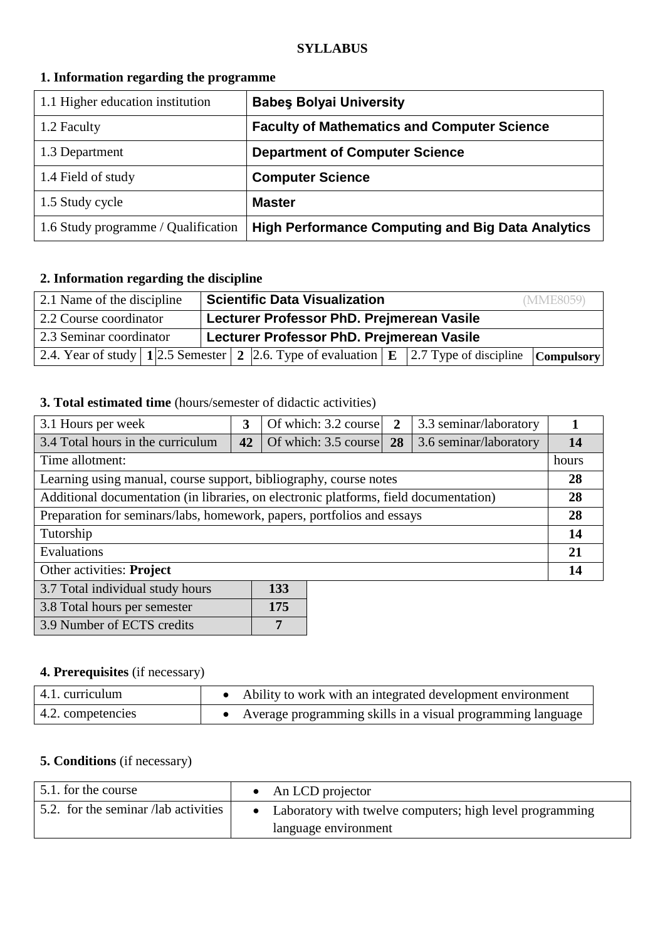#### **SYLLABUS**

### **1. Information regarding the programme**

| 1.1 Higher education institution    | <b>Babes Bolyai University</b>                           |
|-------------------------------------|----------------------------------------------------------|
| 1.2 Faculty                         | <b>Faculty of Mathematics and Computer Science</b>       |
| 1.3 Department                      | <b>Department of Computer Science</b>                    |
| 1.4 Field of study                  | <b>Computer Science</b>                                  |
| 1.5 Study cycle                     | <b>Master</b>                                            |
| 1.6 Study programme / Qualification | <b>High Performance Computing and Big Data Analytics</b> |

## **2. Information regarding the discipline**

| 2.1 Name of the discipline | Scientific Data Visualization<br>(MME8059)                                                                                           |  |  |  |
|----------------------------|--------------------------------------------------------------------------------------------------------------------------------------|--|--|--|
| 2.2 Course coordinator     | Lecturer Professor PhD. Prejmerean Vasile                                                                                            |  |  |  |
| 2.3 Seminar coordinator    | Lecturer Professor PhD. Prejmerean Vasile                                                                                            |  |  |  |
|                            | 2.4. Year of study $\boxed{1 2.5 \text{ Semester} 2 2.6}$ . Type of evaluation $\boxed{E 2.7 \text{ Type of discipline}}$ Compulsory |  |  |  |

### **3. Total estimated time** (hours/semester of didactic activities)

| 3.1 Hours per week                                                                    | 3  | Of which: 3.2 course              | $\overline{2}$ | 3.3 seminar/laboratory |    |
|---------------------------------------------------------------------------------------|----|-----------------------------------|----------------|------------------------|----|
| 3.4 Total hours in the curriculum                                                     | 42 | Of which: $3.5 \text{ course}$ 28 |                | 3.6 seminar/laboratory | 14 |
| Time allotment:                                                                       |    |                                   |                | hours                  |    |
| Learning using manual, course support, bibliography, course notes                     |    |                                   |                |                        | 28 |
| Additional documentation (in libraries, on electronic platforms, field documentation) |    |                                   |                |                        | 28 |
| Preparation for seminars/labs, homework, papers, portfolios and essays                |    |                                   |                | 28                     |    |
| Tutorship                                                                             |    |                                   |                | 14                     |    |
| Evaluations                                                                           |    |                                   |                | 21                     |    |
| Other activities: Project                                                             |    |                                   |                | 14                     |    |
| 3.7 Total individual study hours<br>133                                               |    |                                   |                |                        |    |

| 3.8 Total hours per semester | 175 |
|------------------------------|-----|
| 3.9 Number of ECTS credits   |     |

## **4. Prerequisites** (if necessary)

| $\vert$ 4.1. curriculum   | Ability to work with an integrated development environment    |
|---------------------------|---------------------------------------------------------------|
| $\vert$ 4.2. competencies | • Average programming skills in a visual programming language |

### **5. Conditions** (if necessary)

| 5.1. for the course                  | $\bullet$ An LCD projector                                 |
|--------------------------------------|------------------------------------------------------------|
| 5.2. for the seminar /lab activities | • Laboratory with twelve computers; high level programming |
|                                      | language environment                                       |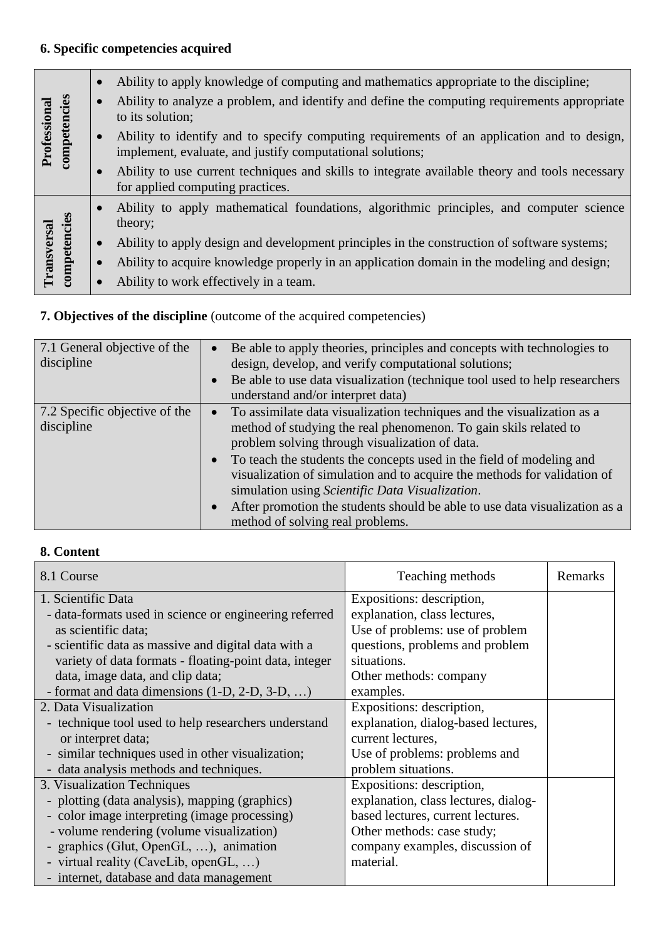# **6. Specific competencies acquired**

|                              |              | Ability to apply knowledge of computing and mathematics appropriate to the discipline;                                                                  |
|------------------------------|--------------|---------------------------------------------------------------------------------------------------------------------------------------------------------|
| Professional<br>competencies |              | Ability to analyze a problem, and identify and define the computing requirements appropriate<br>to its solution;                                        |
|                              |              | Ability to identify and to specify computing requirements of an application and to design,<br>implement, evaluate, and justify computational solutions; |
|                              |              | Ability to use current techniques and skills to integrate available theory and tools necessary<br>for applied computing practices.                      |
|                              | competencies | Ability to apply mathematical foundations, algorithmic principles, and computer science<br>theory;                                                      |
|                              |              | Ability to apply design and development principles in the construction of software systems;                                                             |
| <b>Transversa</b>            |              | Ability to acquire knowledge properly in an application domain in the modeling and design;                                                              |
|                              |              | Ability to work effectively in a team.                                                                                                                  |

# **7. Objectives of the discipline** (outcome of the acquired competencies)

| 7.1 General objective of the<br>discipline  | $\bullet$<br>$\bullet$              | Be able to apply theories, principles and concepts with technologies to<br>design, develop, and verify computational solutions;<br>Be able to use data visualization (technique tool used to help researchers<br>understand and/or interpret data)                                                                                                                                                                                                                                                                    |
|---------------------------------------------|-------------------------------------|-----------------------------------------------------------------------------------------------------------------------------------------------------------------------------------------------------------------------------------------------------------------------------------------------------------------------------------------------------------------------------------------------------------------------------------------------------------------------------------------------------------------------|
| 7.2 Specific objective of the<br>discipline | $\bullet$<br>$\bullet$<br>$\bullet$ | To assimilate data visualization techniques and the visualization as a<br>method of studying the real phenomenon. To gain skils related to<br>problem solving through visualization of data.<br>To teach the students the concepts used in the field of modeling and<br>visualization of simulation and to acquire the methods for validation of<br>simulation using Scientific Data Visualization.<br>After promotion the students should be able to use data visualization as a<br>method of solving real problems. |

## **8. Content**

| 8.1 Course                                             | Teaching methods                     | Remarks |
|--------------------------------------------------------|--------------------------------------|---------|
| 1. Scientific Data                                     | Expositions: description,            |         |
| - data-formats used in science or engineering referred | explanation, class lectures,         |         |
| as scientific data;                                    | Use of problems: use of problem      |         |
| - scientific data as massive and digital data with a   | questions, problems and problem      |         |
| variety of data formats - floating-point data, integer | situations.                          |         |
| data, image data, and clip data;                       | Other methods: company               |         |
| - format and data dimensions (1-D, 2-D, 3-D, )         | examples.                            |         |
| 2. Data Visualization                                  | Expositions: description,            |         |
| - technique tool used to help researchers understand   | explanation, dialog-based lectures,  |         |
| or interpret data;                                     | current lectures,                    |         |
| - similar techniques used in other visualization;      | Use of problems: problems and        |         |
| - data analysis methods and techniques.                | problem situations.                  |         |
| 3. Visualization Techniques                            | Expositions: description,            |         |
| - plotting (data analysis), mapping (graphics)         | explanation, class lectures, dialog- |         |
| - color image interpreting (image processing)          | based lectures, current lectures.    |         |
| - volume rendering (volume visualization)              | Other methods: case study;           |         |
| - graphics (Glut, OpenGL, ), animation                 | company examples, discussion of      |         |
| - virtual reality (CaveLib, openGL, )                  | material.                            |         |
| - internet, database and data management               |                                      |         |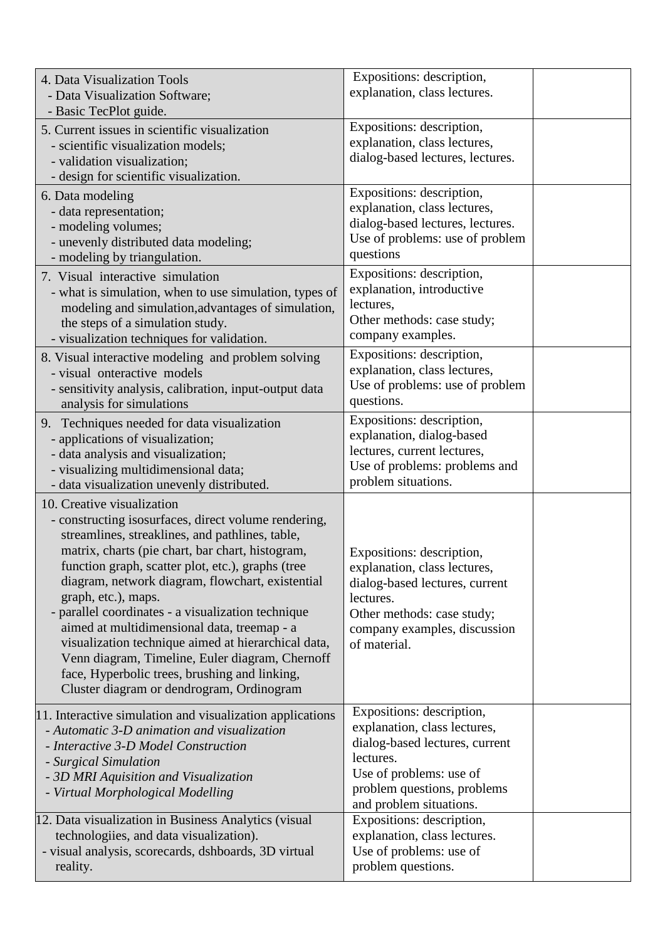|          | 4. Data Visualization Tools<br>- Data Visualization Software;<br>- Basic TecPlot guide.                                                                                                                                                                                                                                                                                                                                                                                                                                                                                                                                                | Expositions: description,<br>explanation, class lectures.                                                                                                                                     |  |
|----------|----------------------------------------------------------------------------------------------------------------------------------------------------------------------------------------------------------------------------------------------------------------------------------------------------------------------------------------------------------------------------------------------------------------------------------------------------------------------------------------------------------------------------------------------------------------------------------------------------------------------------------------|-----------------------------------------------------------------------------------------------------------------------------------------------------------------------------------------------|--|
|          | 5. Current issues in scientific visualization<br>- scientific visualization models;<br>- validation visualization;<br>- design for scientific visualization.                                                                                                                                                                                                                                                                                                                                                                                                                                                                           | Expositions: description,<br>explanation, class lectures,<br>dialog-based lectures, lectures.                                                                                                 |  |
|          | 6. Data modeling<br>- data representation;<br>- modeling volumes;<br>- unevenly distributed data modeling;<br>- modeling by triangulation.                                                                                                                                                                                                                                                                                                                                                                                                                                                                                             | Expositions: description,<br>explanation, class lectures,<br>dialog-based lectures, lectures.<br>Use of problems: use of problem<br>questions                                                 |  |
|          | 7. Visual interactive simulation<br>- what is simulation, when to use simulation, types of<br>modeling and simulation, advantages of simulation,<br>the steps of a simulation study.<br>- visualization techniques for validation.                                                                                                                                                                                                                                                                                                                                                                                                     | Expositions: description,<br>explanation, introductive<br>lectures,<br>Other methods: case study;<br>company examples.                                                                        |  |
|          | 8. Visual interactive modeling and problem solving<br>- visual onteractive models<br>- sensitivity analysis, calibration, input-output data<br>analysis for simulations                                                                                                                                                                                                                                                                                                                                                                                                                                                                | Expositions: description,<br>explanation, class lectures,<br>Use of problems: use of problem<br>questions.                                                                                    |  |
|          | 9. Techniques needed for data visualization<br>- applications of visualization;<br>- data analysis and visualization;<br>- visualizing multidimensional data;<br>- data visualization unevenly distributed.                                                                                                                                                                                                                                                                                                                                                                                                                            | Expositions: description,<br>explanation, dialog-based<br>lectures, current lectures,<br>Use of problems: problems and<br>problem situations.                                                 |  |
|          | 10. Creative visualization<br>- constructing isosurfaces, direct volume rendering,<br>streamlines, streaklines, and pathlines, table,<br>matrix, charts (pie chart, bar chart, histogram,<br>function graph, scatter plot, etc.), graphs (tree<br>diagram, network diagram, flowchart, existential<br>graph, etc.), maps.<br>- parallel coordinates - a visualization technique<br>aimed at multidimensional data, treemap - a<br>visualization technique aimed at hierarchical data,<br>Venn diagram, Timeline, Euler diagram, Chernoff<br>face, Hyperbolic trees, brushing and linking,<br>Cluster diagram or dendrogram, Ordinogram | Expositions: description,<br>explanation, class lectures,<br>dialog-based lectures, current<br>lectures.<br>Other methods: case study;<br>company examples, discussion<br>of material.        |  |
|          | 11. Interactive simulation and visualization applications<br>- Automatic 3-D animation and visualization<br>- Interactive 3-D Model Construction<br>- Surgical Simulation<br>- 3D MRI Aquisition and Visualization<br>- Virtual Morphological Modelling                                                                                                                                                                                                                                                                                                                                                                                | Expositions: description,<br>explanation, class lectures,<br>dialog-based lectures, current<br>lectures.<br>Use of problems: use of<br>problem questions, problems<br>and problem situations. |  |
| reality. | 12. Data visualization in Business Analytics (visual<br>technologiies, and data visualization).<br>- visual analysis, scorecards, dshboards, 3D virtual                                                                                                                                                                                                                                                                                                                                                                                                                                                                                | Expositions: description,<br>explanation, class lectures.<br>Use of problems: use of<br>problem questions.                                                                                    |  |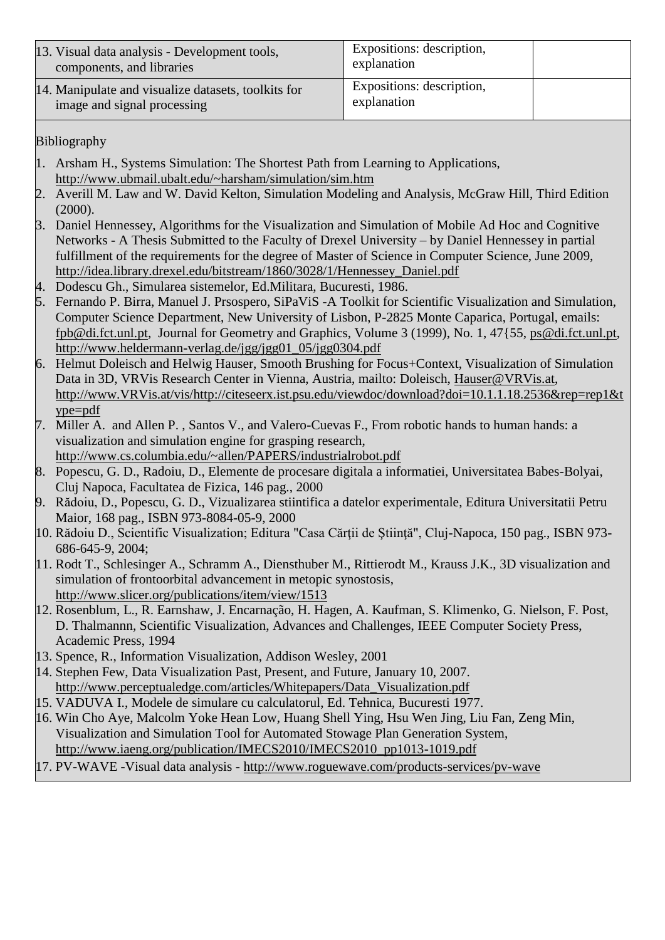| 13. Visual data analysis - Development tools,<br>components, and libraries         | Expositions: description,<br>explanation |  |
|------------------------------------------------------------------------------------|------------------------------------------|--|
| 14. Manipulate and visualize datasets, toolkits for<br>image and signal processing | Expositions: description,<br>explanation |  |

Bibliography

- 1. Arsham H., Systems Simulation: The Shortest Path from Learning to Applications, <http://www.ubmail.ubalt.edu/~harsham/simulation/sim.htm>
- 2. Averill M. Law and W. David Kelton, Simulation Modeling and Analysis, McGraw Hill, Third Edition (2000).
- 3. Daniel Hennessey, Algorithms for the Visualization and Simulation of Mobile Ad Hoc and Cognitive Networks - A Thesis Submitted to the Faculty of Drexel University – by Daniel Hennessey in partial fulfillment of the requirements for the degree of Master of Science in Computer Science, June 2009, [http://idea.library.drexel.edu/bitstream/1860/3028/1/Hennessey\\_Daniel.pdf](http://idea.library.drexel.edu/bitstream/1860/3028/1/Hennessey_Daniel.pdf)
- 4. Dodescu Gh., Simularea sistemelor, Ed.Militara, Bucuresti, 1986.
- 5. Fernando P. Birra, Manuel J. Prsospero, SiPaViS -A Toolkit for Scientific Visualization and Simulation, Computer Science Department, New University of Lisbon, P-2825 Monte Caparica, Portugal, emails: [fpb@di.fct.unl.pt,](mailto:fpb@di.fct.unl.pt) Journal for Geometry and Graphics, Volume 3 (1999), No. 1, 47{55, [ps@di.fct.unl.pt,](mailto:ps@di.fct.unl.pt) [http://www.heldermann-verlag.de/jgg/jgg01\\_05/jgg0304.pdf](http://www.heldermann-verlag.de/jgg/jgg01_05/jgg0304.pdf)
- 6. Helmut Doleisch and Helwig Hauser, Smooth Brushing for Focus+Context, Visualization of Simulation Data in 3D, VRVis Research Center in Vienna, Austria, mailto: Doleisch, [Hauser@VRVis.at,](mailto:Hauser@VRVis.at) [http://www.VRVis.at/vis/http://citeseerx.ist.psu.edu/viewdoc/download?doi=10.1.1.18.2536&rep=rep1&t](http://www.vrvis.at/vis/) [ype=pdf](http://citeseerx.ist.psu.edu/viewdoc/download?doi=10.1.1.18.2536&rep=rep1&type=pdf)
- 7. Miller A. and Allen P. , Santos V., and Valero-Cuevas F., From robotic hands to human hands: a visualization and simulation engine for grasping research, <http://www.cs.columbia.edu/~allen/PAPERS/industrialrobot.pdf>
- 8. Popescu, G. D., Radoiu, D., Elemente de procesare digitala a informatiei, Universitatea Babes-Bolyai, Cluj Napoca, Facultatea de Fizica, 146 pag., 2000
- 9. Rădoiu, D., Popescu, G. D., Vizualizarea stiintifica a datelor experimentale, Editura Universitatii Petru Maior, 168 pag., ISBN 973-8084-05-9, 2000
- 10. Rădoiu D., Scientific Visualization; Editura "Casa Cărții de Știință", Cluj-Napoca, 150 pag., ISBN 973-686-645-9, 2004;
- 11. Rodt T., Schlesinger A., Schramm A., Diensthuber M., Rittierodt M., Krauss J.K., 3D visualization and simulation of frontoorbital advancement in metopic synostosis, <http://www.slicer.org/publications/item/view/1513>
- 12. Rosenblum, L., R. Earnshaw, J. Encarnação, H. Hagen, A. Kaufman, S. Klimenko, G. Nielson, F. Post, D. Thalmannn, Scientific Visualization, Advances and Challenges, IEEE Computer Society Press, Academic Press, 1994
- 13. Spence, R., Information Visualization, Addison Wesley, 2001
- 14. Stephen Few, Data Visualization Past, Present, and Future, January 10, 2007. [http://www.perceptualedge.com/articles/Whitepapers/Data\\_Visualization.pdf](http://www.perceptualedge.com/articles/Whitepapers/Data_Visualization.pdf)
- 15. VADUVA I., Modele de simulare cu calculatorul, Ed. Tehnica, Bucuresti 1977.
- 16. Win Cho Aye, Malcolm Yoke Hean Low, Huang Shell Ying, Hsu Wen Jing, Liu Fan, Zeng Min, Visualization and Simulation Tool for Automated Stowage Plan Generation System, [http://www.iaeng.org/publication/IMECS2010/IMECS2010\\_pp1013-1019.pdf](http://www.iaeng.org/publication/IMECS2010/IMECS2010_pp1013-1019.pdf)
- 17. PV-WAVE -Visual data analysis <http://www.roguewave.com/products-services/pv-wave>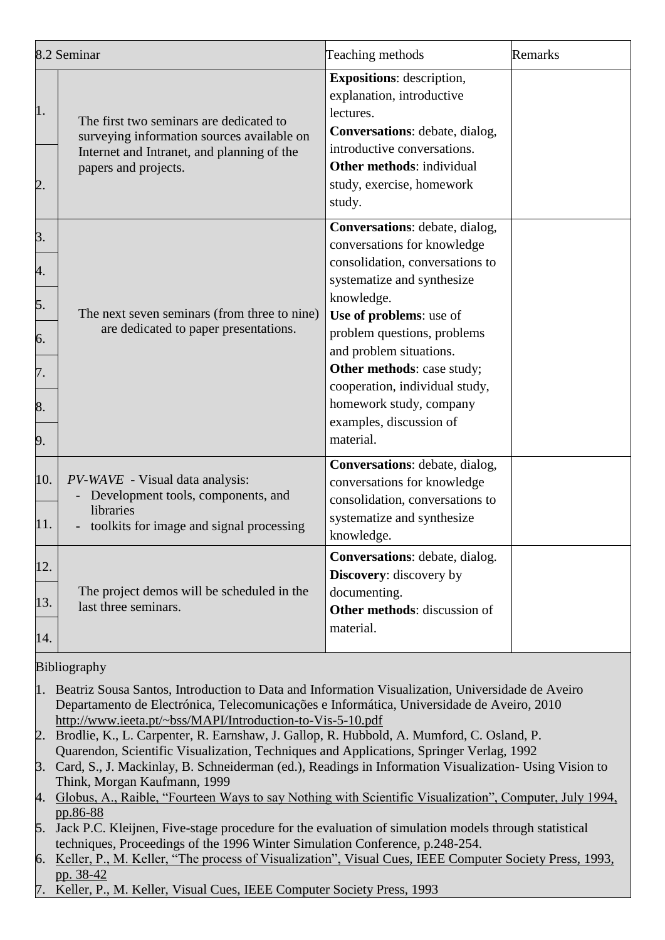|                                        | 8.2 Seminar                                                                                                                                                 | Teaching methods                                                                                                                                                                                                                                                                                                                                                     | Remarks |
|----------------------------------------|-------------------------------------------------------------------------------------------------------------------------------------------------------------|----------------------------------------------------------------------------------------------------------------------------------------------------------------------------------------------------------------------------------------------------------------------------------------------------------------------------------------------------------------------|---------|
| 1.<br>2.                               | The first two seminars are dedicated to<br>surveying information sources available on<br>Internet and Intranet, and planning of the<br>papers and projects. | <b>Expositions:</b> description,<br>explanation, introductive<br>lectures.<br>Conversations: debate, dialog,<br>introductive conversations.<br><b>Other methods: individual</b><br>study, exercise, homework<br>study.                                                                                                                                               |         |
| 3.<br>4.<br>5.<br>6.<br>7.<br>8.<br>9. | The next seven seminars (from three to nine)<br>are dedicated to paper presentations.                                                                       | Conversations: debate, dialog,<br>conversations for knowledge<br>consolidation, conversations to<br>systematize and synthesize<br>knowledge.<br>Use of problems: use of<br>problem questions, problems<br>and problem situations.<br>Other methods: case study;<br>cooperation, individual study,<br>homework study, company<br>examples, discussion of<br>material. |         |
| 10.<br>11.                             | PV-WAVE - Visual data analysis:<br>Development tools, components, and<br>libraries<br>toolkits for image and signal processing                              | Conversations: debate, dialog,<br>conversations for knowledge<br>consolidation, conversations to<br>systematize and synthesize<br>knowledge.                                                                                                                                                                                                                         |         |
| 12.<br>13.<br>14.                      | The project demos will be scheduled in the<br>last three seminars.                                                                                          | Conversations: debate, dialog.<br><b>Discovery:</b> discovery by<br>documenting.<br>Other methods: discussion of<br>material.                                                                                                                                                                                                                                        |         |

Bibliography

- 1. Beatriz Sousa Santos, Introduction to Data and Information Visualization, Universidade de Aveiro Departamento de Electrónica, Telecomunicações e Informática, Universidade de Aveiro, 2010 <http://www.ieeta.pt/~bss/MAPI/Introduction-to-Vis-5-10.pdf>
- 2. Brodlie, K., L. Carpenter, R. Earnshaw, J. Gallop, R. Hubbold, A. Mumford, C. Osland, P. Quarendon, Scientific Visualization, Techniques and Applications, Springer Verlag, 1992
- 3. Card, S., J. Mackinlay, B. Schneiderman (ed.), Readings in Information Visualization- Using Vision to Think, Morgan Kaufmann, 1999
- 4. [Globus, A., Raible, "Fourteen Ways to say Nothing with Scientific Visualization", Computer, July 1994,](http://www.ieeta.pt/~bss/bibliografia/artigos/Visualiza%C3%A7%C3%A3o/fourteen%20ways%20of%20saying%20nothing.pdf)  [pp.86-88](http://www.ieeta.pt/~bss/bibliografia/artigos/Visualiza%C3%A7%C3%A3o/fourteen%20ways%20of%20saying%20nothing.pdf)
- 5. Jack P.C. Kleijnen, Five-stage procedure for the evaluation of simulation models through statistical techniques, Proceedings of the 1996 Winter Simulation Conference, p.248-254.
- 6. [Keller, P., M. Keller, "The process of Visualization",](http://www.ieeta.pt/~bss/bibliografia/artigos/Visualiza%C3%A7%C3%A3o/Keller-Visprocess.pdf) Visual Cues, IEEE Computer Society Press, 1993, [pp. 38-42](http://www.ieeta.pt/~bss/bibliografia/artigos/Visualiza%C3%A7%C3%A3o/Keller-Visprocess.pdf)
- 7. Keller, P., M. Keller, Visual Cues, IEEE Computer Society Press, 1993